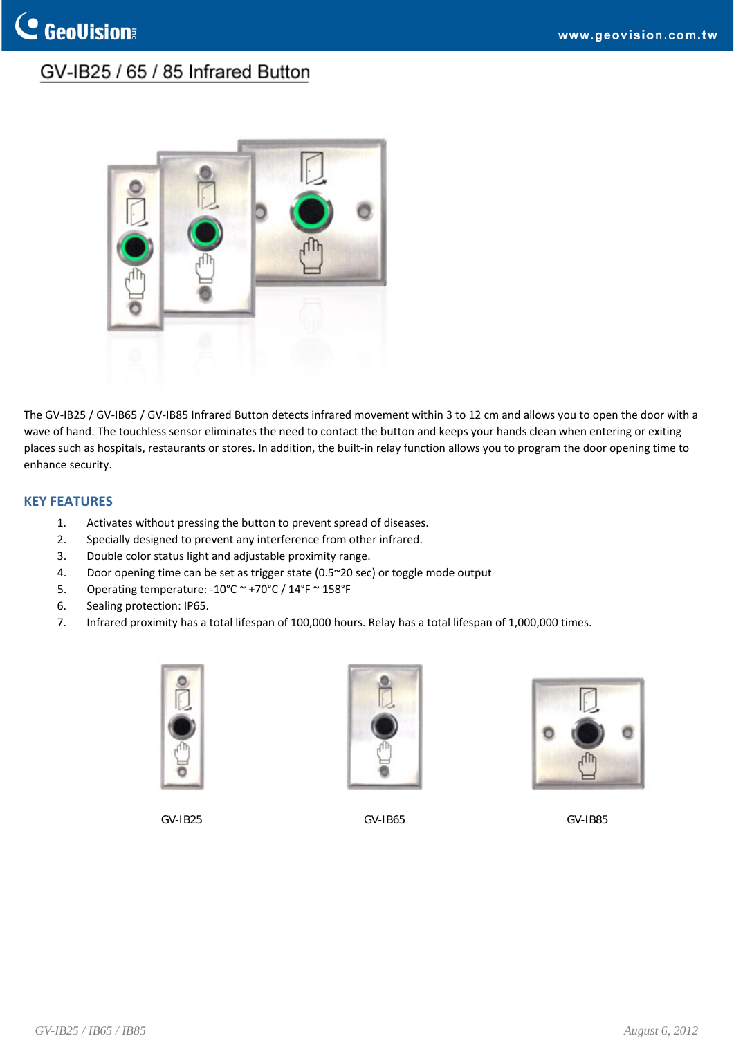## GV-IB25 / 65 / 85 Infrared Button



The GV-IB25 / GV-IB65 / GV-IB85 Infrared Button detects infrared movement within 3 to 12 cm and allows you to open the door with a wave of hand. The touchless sensor eliminates the need to contact the button and keeps your hands clean when entering or exiting places such as hospitals, restaurants or stores. In addition, the built-in relay function allows you to program the door opening time to enhance security.

### **KEY FEATURES**

- 1. Activates without pressing the button to prevent spread of diseases.
- 2. Specially designed to prevent any interference from other infrared.
- 3. Double color status light and adjustable proximity range.
- 4. Door opening time can be set as trigger state (0.5~20 sec) or toggle mode output
- 5. Operating temperature: ‐10°C ~ +70°C / 14°F ~ 158°F
- 6. Sealing protection: IP65.
- 7. Infrared proximity has a total lifespan of 100,000 hours. Relay has a total lifespan of 1,000,000 times.





GV-IB25 GV-IB65 GV-IB85